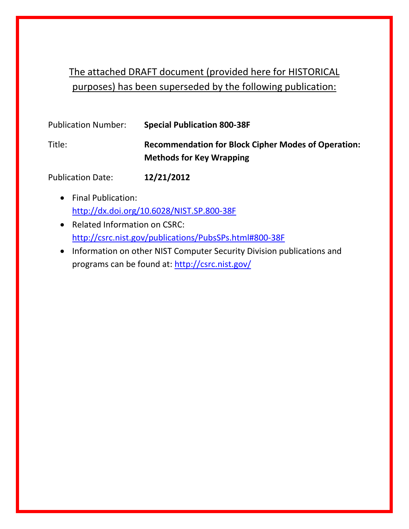### The attached DRAFT document (provided here for HISTORICAL purposes) has been superseded by the following publication:

| <b>Publication Number:</b> | <b>Special Publication 800-38F</b>                                                            |
|----------------------------|-----------------------------------------------------------------------------------------------|
| Title:                     | <b>Recommendation for Block Cipher Modes of Operation:</b><br><b>Methods for Key Wrapping</b> |
|                            |                                                                                               |

Publication Date: **12/21/2012**

- Final Publication: <http://dx.doi.org/10.6028/NIST.SP.800-38F>
- Related Information on CSRC: <http://csrc.nist.gov/publications/PubsSPs.html#800-38F>
- Information on other NIST Computer Security Division publications and programs can be found at:<http://csrc.nist.gov/>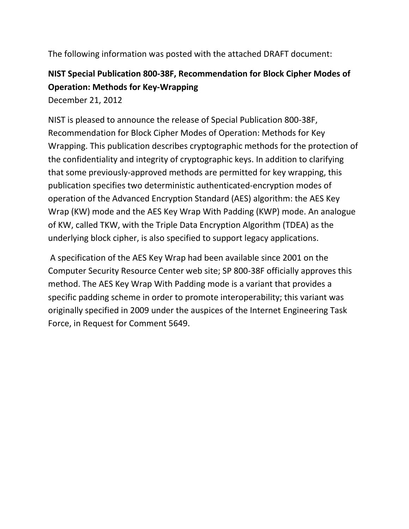The following information was posted with the attached DRAFT document:

### **NIST Special Publication 800-38F, Recommendation for Block Cipher Modes of Operation: Methods for Key-Wrapping**

December 21, 2012

NIST is pleased to announce the release of Special Publication 800-38F, Recommendation for Block Cipher Modes of Operation: Methods for Key Wrapping. This publication describes cryptographic methods for the protection of the confidentiality and integrity of cryptographic keys. In addition to clarifying that some previously-approved methods are permitted for key wrapping, this publication specifies two deterministic authenticated-encryption modes of operation of the Advanced Encryption Standard (AES) algorithm: the AES Key Wrap (KW) mode and the AES Key Wrap With Padding (KWP) mode. An analogue of KW, called TKW, with the Triple Data Encryption Algorithm (TDEA) as the underlying block cipher, is also specified to support legacy applications.

A specification of the AES Key Wrap had been available since 2001 on the Computer Security Resource Center web site; SP 800-38F officially approves this method. The AES Key Wrap With Padding mode is a variant that provides a specific padding scheme in order to promote interoperability; this variant was originally specified in 2009 under the auspices of the Internet Engineering Task Force, in Request for Comment 5649.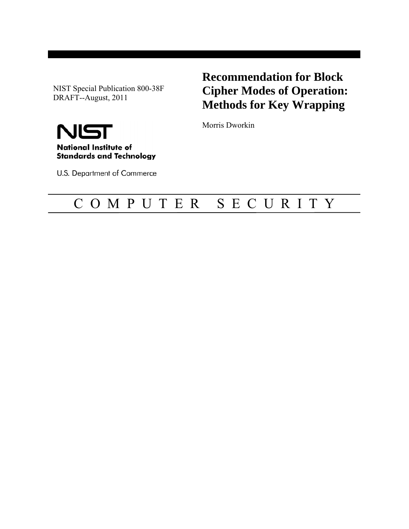NIST Special Publication 800-38F DRAFT--August, 2011

**Recommendation for Block Cipher Modes of Operation: Methods for Key Wrapping** 

Morris Dworkin



U.S. Department of Commerce

## C O M P U T E R S E C U R I T Y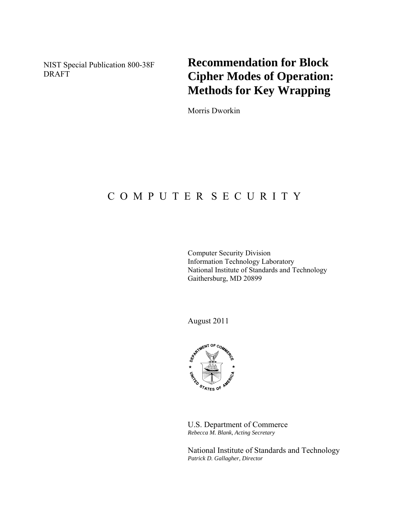**Recommendation for Block Cipher Modes of Operation: Methods for Key Wrapping** 

Morris Dworkin

### C O M P U T E R S E C U R I T Y

Computer Security Division Information Technology Laboratory National Institute of Standards and Technology Gaithersburg, MD 20899

August 2011



U.S. Department of Commerce *Rebecca M. Blank, Acting Secretary* 

National Institute of Standards and Technology *Patrick D. Gallagher, Director*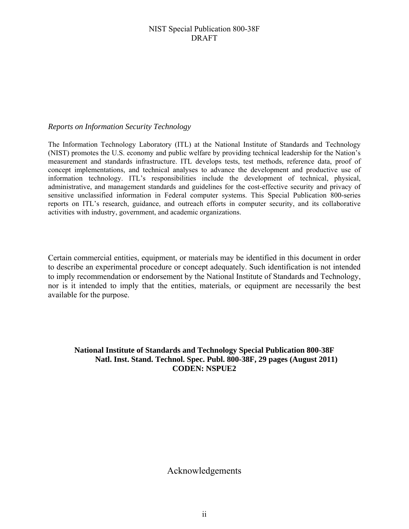#### *Reports on Information Security Technology*

The Information Technology Laboratory (ITL) at the National Institute of Standards and Technology (NIST) promotes the U.S. economy and public welfare by providing technical leadership for the Nation's measurement and standards infrastructure. ITL develops tests, test methods, reference data, proof of concept implementations, and technical analyses to advance the development and productive use of information technology. ITL's responsibilities include the development of technical, physical, administrative, and management standards and guidelines for the cost-effective security and privacy of sensitive unclassified information in Federal computer systems. This Special Publication 800-series reports on ITL's research, guidance, and outreach efforts in computer security, and its collaborative activities with industry, government, and academic organizations.

Certain commercial entities, equipment, or materials may be identified in this document in order to describe an experimental procedure or concept adequately. Such identification is not intended to imply recommendation or endorsement by the National Institute of Standards and Technology, nor is it intended to imply that the entities, materials, or equipment are necessarily the best available for the purpose.

### **National Institute of Standards and Technology Special Publication 800-38F Natl. Inst. Stand. Technol. Spec. Publ. 800-38F, 29 pages (August 2011) CODEN: NSPUE2**

### Acknowledgements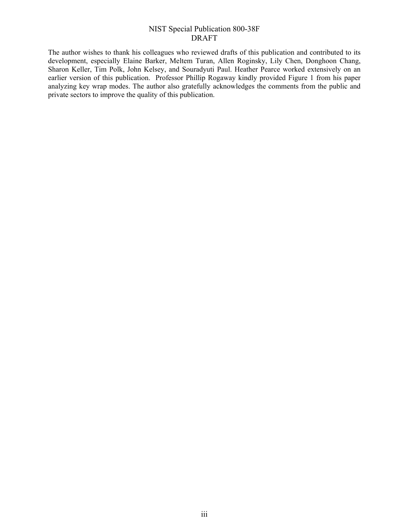The author wishes to thank his colleagues who reviewed drafts of this publication and contributed to its development, especially Elaine Barker, Meltem Turan, Allen Roginsky, Lily Chen, Donghoon Chang, Sharon Keller, Tim Polk, John Kelsey, and Souradyuti Paul. Heather Pearce worked extensively on an earlier version of this publication. Professor Phillip Rogaway kindly provided Figure 1 from his paper analyzing key wrap modes. The author also gratefully acknowledges the comments from the public and private sectors to improve the quality of this publication.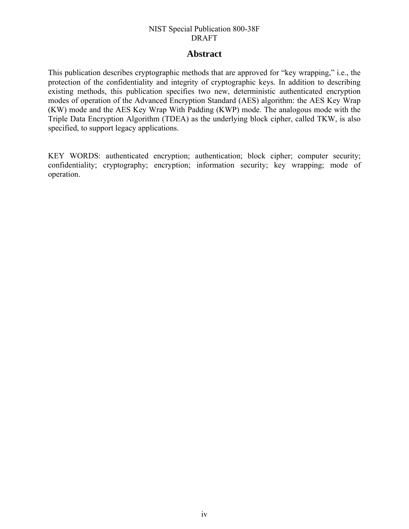### **Abstract**

This publication describes cryptographic methods that are approved for "key wrapping," i.e., the protection of the confidentiality and integrity of cryptographic keys. In addition to describing existing methods, this publication specifies two new, deterministic authenticated encryption modes of operation of the Advanced Encryption Standard (AES) algorithm: the AES Key Wrap (KW) mode and the AES Key Wrap With Padding (KWP) mode. The analogous mode with the Triple Data Encryption Algorithm (TDEA) as the underlying block cipher, called TKW, is also specified, to support legacy applications.

KEY WORDS: authenticated encryption; authentication; block cipher; computer security; confidentiality; cryptography; encryption; information security; key wrapping; mode of operation.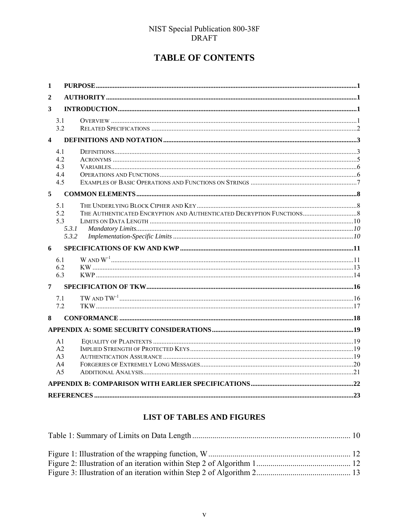### **TABLE OF CONTENTS**

| 1                       |                |  |
|-------------------------|----------------|--|
| $\boldsymbol{2}$        |                |  |
| 3                       |                |  |
|                         | 3.1            |  |
|                         | 3.2            |  |
| $\overline{\mathbf{4}}$ |                |  |
|                         | 4.1            |  |
|                         | 42             |  |
|                         | 4.3            |  |
|                         | 4.4            |  |
|                         | 4.5            |  |
| 5                       |                |  |
|                         | 5.1            |  |
|                         | 5.2            |  |
|                         | 5.3            |  |
|                         | 5.3.1          |  |
|                         | 5.3.2          |  |
| 6                       |                |  |
|                         | 6.1            |  |
|                         | 6.2            |  |
|                         | 6.3            |  |
| 7                       |                |  |
|                         | 71             |  |
|                         | 7.2            |  |
| 8                       |                |  |
|                         |                |  |
|                         | A <sub>1</sub> |  |
|                         | A2             |  |
|                         | A <sub>3</sub> |  |
|                         | A <sub>4</sub> |  |
|                         | A <sub>5</sub> |  |
|                         |                |  |
|                         |                |  |

### LIST OF TABLES AND FIGURES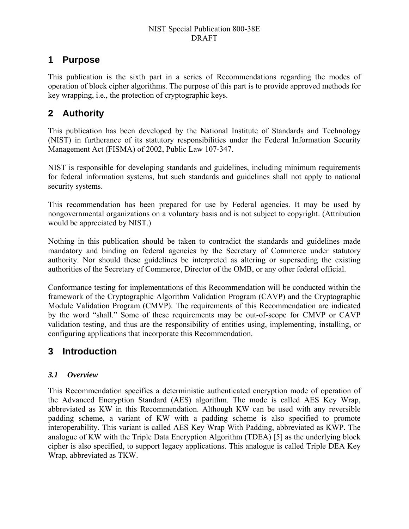### <span id="page-10-0"></span>**1 Purpose**

This publication is the sixth part in a series of Recommendations regarding the modes of operation of block cipher algorithms. The purpose of this part is to provide approved methods for key wrapping, i.e., the protection of cryptographic keys.

### <span id="page-10-1"></span>**2 Authority**

This publication has been developed by the National Institute of Standards and Technology (NIST) in furtherance of its statutory responsibilities under the Federal Information Security Management Act (FISMA) of 2002, Public Law 107-347.

NIST is responsible for developing standards and guidelines, including minimum requirements for federal information systems, but such standards and guidelines shall not apply to national security systems.

This recommendation has been prepared for use by Federal agencies. It may be used by nongovernmental organizations on a voluntary basis and is not subject to copyright. (Attribution would be appreciated by NIST.)

Nothing in this publication should be taken to contradict the standards and guidelines made mandatory and binding on federal agencies by the Secretary of Commerce under statutory authority. Nor should these guidelines be interpreted as altering or superseding the existing authorities of the Secretary of Commerce, Director of the OMB, or any other federal official.

Conformance testing for implementations of this Recommendation will be conducted within the framework of the Cryptographic Algorithm Validation Program (CAVP) and the Cryptographic Module Validation Program (CMVP). The requirements of this Recommendation are indicated by the word "shall." Some of these requirements may be out-of-scope for CMVP or CAVP validation testing, and thus are the responsibility of entities using, implementing, installing, or configuring applications that incorporate this Recommendation.

### <span id="page-10-2"></span>**3 Introduction**

### <span id="page-10-3"></span>*3.1 Overview*

This Recommendation specifies a deterministic authenticated encryption mode of operation of the Advanced Encryption Standard (AES) algorithm. The mode is called AES Key Wrap, abbreviated as KW in this Recommendation. Although KW can be used with any reversible padding scheme, a variant of KW with a padding scheme is also specified to promote interoperability. This variant is called AES Key Wrap With Padding, abbreviated as KWP. The analogue of KW with the Triple Data Encryption Algorithm (TDEA) [\[5\]](#page-32-1) as the underlying block cipher is also specified, to support legacy applications. This analogue is called Triple DEA Key Wrap, abbreviated as TKW.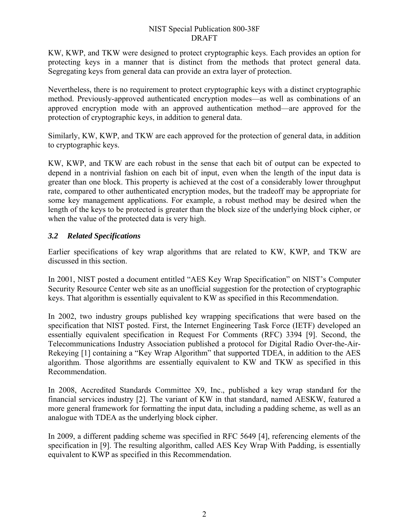KW, KWP, and TKW were designed to protect cryptographic keys. Each provides an option for protecting keys in a manner that is distinct from the methods that protect general data. Segregating keys from general data can provide an extra layer of protection.

Nevertheless, there is no requirement to protect cryptographic keys with a distinct cryptographic method. Previously-approved authenticated encryption modes—as well as combinations of an approved encryption mode with an approved authentication method—are approved for the protection of cryptographic keys, in addition to general data.

Similarly, KW, KWP, and TKW are each approved for the protection of general data, in addition to cryptographic keys.

KW, KWP, and TKW are each robust in the sense that each bit of output can be expected to depend in a nontrivial fashion on each bit of input, even when the length of the input data is greater than one block. This property is achieved at the cost of a considerably lower throughput rate, compared to other authenticated encryption modes, but the tradeoff may be appropriate for some key management applications. For example, a robust method may be desired when the length of the keys to be protected is greater than the block size of the underlying block cipher, or when the value of the protected data is very high.

### <span id="page-11-0"></span>*3.2 Related Specifications*

Earlier specifications of key wrap algorithms that are related to KW, KWP, and TKW are discussed in this section.

In 2001, NIST posted a document entitled "AES Key Wrap Specification" on NIST's Computer Security Resource Center web site as an unofficial suggestion for the protection of cryptographic keys. That algorithm is essentially equivalent to KW as specified in this Recommendation.

In 2002, two industry groups published key wrapping specifications that were based on the specification that NIST posted. First, the Internet Engineering Task Force (IETF) developed an essentially equivalent specification in Request For Comments (RFC) 3394 [\[9\]](#page-32-2). Second, the Telecommunications Industry Association published a protocol for Digital Radio Over-the-Air-Rekeying [\[1\]](#page-32-3) containing a "Key Wrap Algorithm" that supported TDEA, in addition to the AES algorithm. Those algorithms are essentially equivalent to KW and TKW as specified in this Recommendation.

In 2008, Accredited Standards Committee X9, Inc., published a key wrap standard for the financial services industry [\[2\].](#page-32-4) The variant of KW in that standard, named AESKW, featured a more general framework for formatting the input data, including a padding scheme, as well as an analogue with TDEA as the underlying block cipher.

In 2009, a different padding scheme was specified in RFC 5649 [\[4\],](#page-32-5) referencing elements of the specification in [\[9\].](#page-32-2) The resulting algorithm, called AES Key Wrap With Padding, is essentially equivalent to KWP as specified in this Recommendation.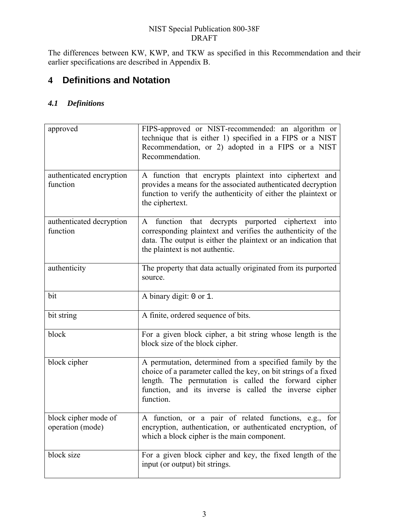The differences between KW, KWP, and TKW as specified in this Recommendation and their earlier specifications are described in Appendix B.

### <span id="page-12-0"></span>**4 Definitions and Notation**

### <span id="page-12-1"></span>*4.1 Definitions*

| approved                                 | FIPS-approved or NIST-recommended: an algorithm or<br>technique that is either 1) specified in a FIPS or a NIST<br>Recommendation, or 2) adopted in a FIPS or a NIST<br>Recommendation.                                                                    |  |
|------------------------------------------|------------------------------------------------------------------------------------------------------------------------------------------------------------------------------------------------------------------------------------------------------------|--|
| authenticated encryption<br>function     | A function that encrypts plaintext into ciphertext and<br>provides a means for the associated authenticated decryption<br>function to verify the authenticity of either the plaintext or<br>the ciphertext.                                                |  |
| authenticated decryption<br>function     | A function that decrypts purported ciphertext into<br>corresponding plaintext and verifies the authenticity of the<br>data. The output is either the plaintext or an indication that<br>the plaintext is not authentic.                                    |  |
| authenticity                             | The property that data actually originated from its purported<br>source.                                                                                                                                                                                   |  |
| bit                                      | A binary digit: 0 or 1.                                                                                                                                                                                                                                    |  |
| bit string                               | A finite, ordered sequence of bits.                                                                                                                                                                                                                        |  |
| block                                    | For a given block cipher, a bit string whose length is the<br>block size of the block cipher.                                                                                                                                                              |  |
| block cipher                             | A permutation, determined from a specified family by the<br>choice of a parameter called the key, on bit strings of a fixed<br>length. The permutation is called the forward cipher<br>function, and its inverse is called the inverse cipher<br>function. |  |
| block cipher mode of<br>operation (mode) | A function, or a pair of related functions, e.g., for<br>encryption, authentication, or authenticated encryption, of<br>which a block cipher is the main component.                                                                                        |  |
| block size                               | For a given block cipher and key, the fixed length of the<br>input (or output) bit strings.                                                                                                                                                                |  |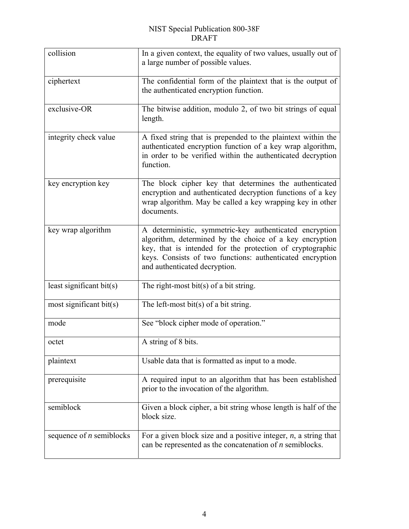| collision                  | In a given context, the equality of two values, usually out of<br>a large number of possible values.                                                                                                                                                                          |  |
|----------------------------|-------------------------------------------------------------------------------------------------------------------------------------------------------------------------------------------------------------------------------------------------------------------------------|--|
| ciphertext                 | The confidential form of the plaintext that is the output of<br>the authenticated encryption function.                                                                                                                                                                        |  |
| exclusive-OR               | The bitwise addition, modulo 2, of two bit strings of equal<br>length.                                                                                                                                                                                                        |  |
| integrity check value      | A fixed string that is prepended to the plaintext within the<br>authenticated encryption function of a key wrap algorithm,<br>in order to be verified within the authenticated decryption<br>function.                                                                        |  |
| key encryption key         | The block cipher key that determines the authenticated<br>encryption and authenticated decryption functions of a key<br>wrap algorithm. May be called a key wrapping key in other<br>documents.                                                                               |  |
| key wrap algorithm         | A deterministic, symmetric-key authenticated encryption<br>algorithm, determined by the choice of a key encryption<br>key, that is intended for the protection of cryptographic<br>keys. Consists of two functions: authenticated encryption<br>and authenticated decryption. |  |
| least significant bit(s)   | The right-most bit(s) of a bit string.                                                                                                                                                                                                                                        |  |
| most significant bit(s)    | The left-most bit(s) of a bit string.                                                                                                                                                                                                                                         |  |
| mode                       | See "block cipher mode of operation."                                                                                                                                                                                                                                         |  |
| octet                      | A string of 8 bits.                                                                                                                                                                                                                                                           |  |
| plaintext                  | Usable data that is formatted as input to a mode.                                                                                                                                                                                                                             |  |
| prerequisite               | A required input to an algorithm that has been established<br>prior to the invocation of the algorithm.                                                                                                                                                                       |  |
| semiblock                  | Given a block cipher, a bit string whose length is half of the<br>block size.                                                                                                                                                                                                 |  |
| sequence of $n$ semiblocks | For a given block size and a positive integer, $n$ , a string that<br>can be represented as the concatenation of $n$ semiblocks.                                                                                                                                              |  |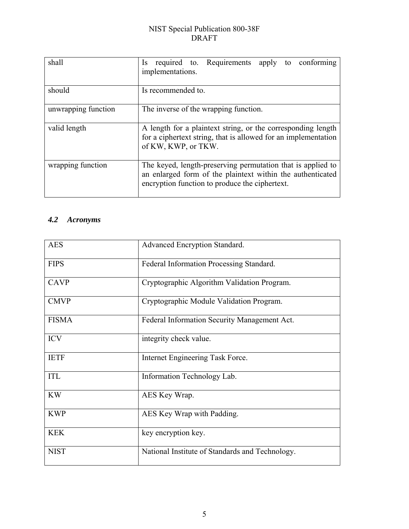| shall               | Is required to Requirements apply to conforming<br>implementations.                                                                                                         |  |  |
|---------------------|-----------------------------------------------------------------------------------------------------------------------------------------------------------------------------|--|--|
| should              | Is recommended to.                                                                                                                                                          |  |  |
| unwrapping function | The inverse of the wrapping function.                                                                                                                                       |  |  |
| valid length        | A length for a plaintext string, or the corresponding length<br>for a ciphertext string, that is allowed for an implementation<br>of KW, KWP, or TKW.                       |  |  |
| wrapping function   | The keyed, length-preserving permutation that is applied to<br>an enlarged form of the plaintext within the authenticated<br>encryption function to produce the ciphertext. |  |  |

### <span id="page-14-0"></span>*4.2 Acronyms*

| <b>AES</b>   | Advanced Encryption Standard.                   |  |
|--------------|-------------------------------------------------|--|
| <b>FIPS</b>  | Federal Information Processing Standard.        |  |
| <b>CAVP</b>  | Cryptographic Algorithm Validation Program.     |  |
| <b>CMVP</b>  | Cryptographic Module Validation Program.        |  |
| <b>FISMA</b> | Federal Information Security Management Act.    |  |
| <b>ICV</b>   | integrity check value.                          |  |
| <b>IETF</b>  | Internet Engineering Task Force.                |  |
| <b>ITL</b>   | Information Technology Lab.                     |  |
| <b>KW</b>    | AES Key Wrap.                                   |  |
| <b>KWP</b>   | AES Key Wrap with Padding.                      |  |
| <b>KEK</b>   | key encryption key.                             |  |
| <b>NIST</b>  | National Institute of Standards and Technology. |  |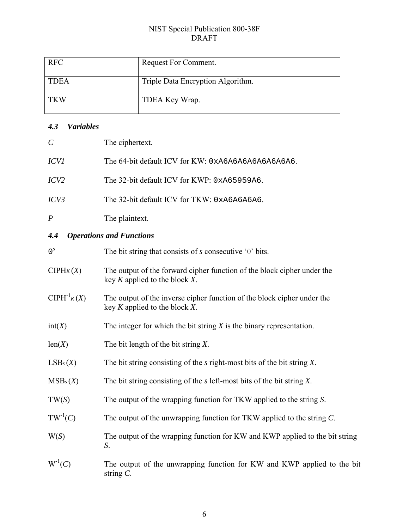| <b>RFC</b>  | Request For Comment.              |
|-------------|-----------------------------------|
| <b>TDEA</b> | Triple Data Encryption Algorithm. |
| <b>TKW</b>  | TDEA Key Wrap.                    |

### <span id="page-15-0"></span>*4.3 Variables*

<span id="page-15-1"></span>

| $\mathcal{C}$                                                                                                                    | The ciphertext.                                                                                               |  |
|----------------------------------------------------------------------------------------------------------------------------------|---------------------------------------------------------------------------------------------------------------|--|
| <b>ICVI</b>                                                                                                                      | The 64-bit default ICV for KW: 0xA6A6A6A6A6A6A6A6.                                                            |  |
| ICV2                                                                                                                             | The 32-bit default ICV for KWP: 0xA65959A6.                                                                   |  |
| ICV3                                                                                                                             | The 32-bit default ICV for TKW: 0xA6A6A6A6.                                                                   |  |
| The plaintext.<br>$\boldsymbol{P}$                                                                                               |                                                                                                               |  |
| 4.4                                                                                                                              | <b>Operations and Functions</b>                                                                               |  |
| 0 <sup>s</sup>                                                                                                                   | The bit string that consists of $s$ consecutive '0' bits.                                                     |  |
| CIPHK(X)                                                                                                                         | The output of the forward cipher function of the block cipher under the<br>key $K$ applied to the block $X$ . |  |
| $ClPH^{-1}K(X)$<br>The output of the inverse cipher function of the block cipher under the<br>key $K$ applied to the block $X$ . |                                                                                                               |  |
| int(X)                                                                                                                           | The integer for which the bit string $X$ is the binary representation.                                        |  |
| len(X)                                                                                                                           | The bit length of the bit string $X$ .                                                                        |  |
| LSB <sub>s</sub> (X)                                                                                                             | The bit string consisting of the $s$ right-most bits of the bit string $X$ .                                  |  |
| MSB <sub>s</sub> (X)                                                                                                             | The bit string consisting of the $s$ left-most bits of the bit string $X$ .                                   |  |
| TW(S)                                                                                                                            | The output of the wrapping function for TKW applied to the string S.                                          |  |
| $TW^{-1}(C)$                                                                                                                     | The output of the unwrapping function for TKW applied to the string $C$ .                                     |  |
| W(S)                                                                                                                             | The output of the wrapping function for KW and KWP applied to the bit string<br>S.                            |  |
| $W^{-1}(C)$                                                                                                                      | The output of the unwrapping function for KW and KWP applied to the bit<br>string $C$ .                       |  |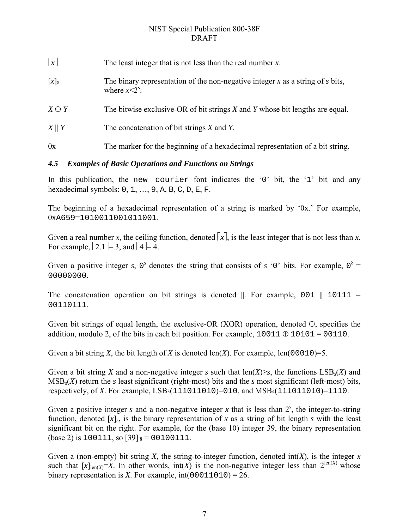| $\lceil x \rceil$ | The least integer that is not less than the real number $x$ .                                          |
|-------------------|--------------------------------------------------------------------------------------------------------|
| $[x]_s$           | The binary representation of the non-negative integer x as a string of s bits,<br>where $x \leq 2^s$ . |
| $X \oplus Y$      | The bitwise exclusive-OR of bit strings $X$ and $Y$ whose bit lengths are equal.                       |
| $X \parallel Y$   | The concatenation of bit strings $X$ and $Y$ .                                                         |
| 0x                | The marker for the beginning of a hexadecimal representation of a bit string.                          |

### <span id="page-16-0"></span>*4.5 Examples of Basic Operations and Functions on Strings*

In this publication, the new courier font indicates the '0' bit, the '1' bit, and any hexadecimal symbols: 0, 1, …, 9, A, B, C, D, E, F.

The beginning of a hexadecimal representation of a string is marked by '0x.' For example, 0xA659=1010011001011001.

Given a real number *x*, the ceiling function, denoted  $\lceil x \rceil$ , is the least integer that is not less than *x*. For example,  $\lceil 2.1 \rceil = 3$ , and  $\lceil 4 \rceil = 4$ .

Given a positive integer *s*,  $0^s$  denotes the string that consists of *s* '0' bits. For example,  $0^8$  = 00000000

The concatenation operation on bit strings is denoted  $\parallel$ . For example, 001  $\parallel$  10111 = 00110111.

Given bit strings of equal length, the exclusive-OR (XOR) operation, denoted  $\oplus$ , specifies the addition, modulo 2, of the bits in each bit position. For example,  $10011 \oplus 10101 = 00110$ .

Given a bit string *X*, the bit length of *X* is denoted len(*X*). For example, len(00010)=5.

Given a bit string *X* and a non-negative integer *s* such that len(*X*)≥*s*, the functions LSB*s*(*X*) and MSB*s*(*X*) return the *s* least significant (right-most) bits and the *s* most significant (left-most) bits, respectively, of *X*. For example, LSB3(111011010)=010, and MSB4(111011010)=1110.

Given a positive integer  $s$  and a non-negative integer  $x$  that is less than  $2<sup>s</sup>$ , the integer-to-string function, denoted  $[x]_s$ , is the binary representation of x as a string of bit length s with the least significant bit on the right. For example, for the (base 10) integer 39, the binary representation (base 2) is 100111, so  $[39]_8 = 00100111$ .

Given a (non-empty) bit string *X*, the string-to-integer function, denoted  $int(X)$ , is the integer *x* such that  $[x]_{\text{len}(X)}=X$ . In other words,  $\text{int}(X)$  is the non-negative integer less than  $2^{\text{len}(X)}$  whose binary representation is *X*. For example,  $int(00011010) = 26$ .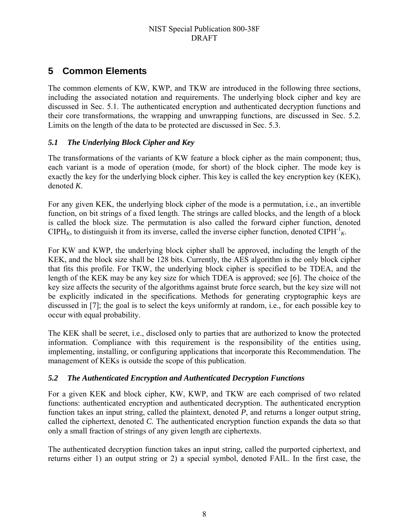### <span id="page-17-0"></span>**5 Common Elements**

The common elements of KW, KWP, and TKW are introduced in the following three sections, including the associated notation and requirements. The underlying block cipher and key are discussed in Sec. [5.1](#page-17-1). The authenticated encryption and authenticated decryption functions and their core transformations, the wrapping and unwrapping functions, are discussed in Sec. [5.2.](#page-17-2) Limits on the length of the data to be protected are discussed in Sec. [5.3](#page-19-0).

### <span id="page-17-1"></span>*5.1 The Underlying Block Cipher and Key*

The transformations of the variants of KW feature a block cipher as the main component; thus, each variant is a mode of operation (mode, for short) of the block cipher. The mode key is exactly the key for the underlying block cipher. This key is called the key encryption key (KEK), denoted *K*.

For any given KEK, the underlying block cipher of the mode is a permutation, i.e., an invertible function, on bit strings of a fixed length. The strings are called blocks, and the length of a block is called the block size. The permutation is also called the forward cipher function, denoted CIPH<sub>K</sub>, to distinguish it from its inverse, called the inverse cipher function, denoted CIPH<sup>-1</sup><sub>K</sub>.

For KW and KWP, the underlying block cipher shall be approved, including the length of the KEK, and the block size shall be 128 bits. Currently, the AES algorithm is the only block cipher that fits this profile. For TKW, the underlying block cipher is specified to be TDEA, and the length of the KEK may be any key size for which TDEA is approved; see [\[6\].](#page-32-6) The choice of the key size affects the security of the algorithms against brute force search, but the key size will not be explicitly indicated in the specifications. Methods for generating cryptographic keys are discussed in [\[7\]](#page-32-7); the goal is to select the keys uniformly at random, i.e., for each possible key to occur with equal probability.

The KEK shall be secret, i.e., disclosed only to parties that are authorized to know the protected information. Compliance with this requirement is the responsibility of the entities using, implementing, installing, or configuring applications that incorporate this Recommendation. The management of KEKs is outside the scope of this publication.

### <span id="page-17-2"></span>*5.2 The Authenticated Encryption and Authenticated Decryption Functions*

For a given KEK and block cipher, KW, KWP, and TKW are each comprised of two related functions: authenticated encryption and authenticated decryption. The authenticated encryption function takes an input string, called the plaintext, denoted *P*, and returns a longer output string, called the ciphertext, denoted *C*. The authenticated encryption function expands the data so that only a small fraction of strings of any given length are ciphertexts.

The authenticated decryption function takes an input string, called the purported ciphertext, and returns either 1) an output string or 2) a special symbol, denoted FAIL. In the first case, the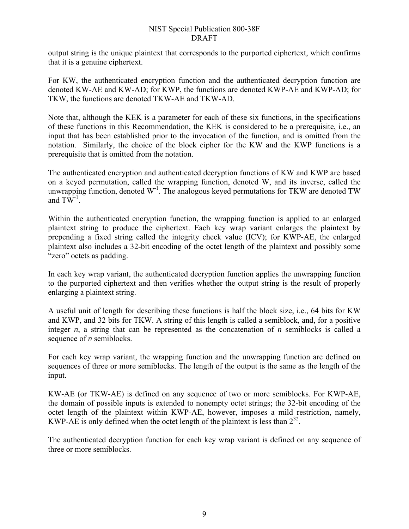output string is the unique plaintext that corresponds to the purported ciphertext, which confirms that it is a genuine ciphertext.

For KW, the authenticated encryption function and the authenticated decryption function are denoted KW-AE and KW-AD; for KWP, the functions are denoted KWP-AE and KWP-AD; for TKW, the functions are denoted TKW-AE and TKW-AD.

Note that, although the KEK is a parameter for each of these six functions, in the specifications of these functions in this Recommendation, the KEK is considered to be a prerequisite, i.e., an input that has been established prior to the invocation of the function, and is omitted from the notation. Similarly, the choice of the block cipher for the KW and the KWP functions is a prerequisite that is omitted from the notation.

The authenticated encryption and authenticated decryption functions of KW and KWP are based on a keyed permutation, called the wrapping function, denoted W, and its inverse, called the unwrapping function, denoted  $W<sup>-1</sup>$ . The analogous keyed permutations for TKW are denoted TW and  $TW^{-1}$ .

Within the authenticated encryption function, the wrapping function is applied to an enlarged plaintext string to produce the ciphertext. Each key wrap variant enlarges the plaintext by prepending a fixed string called the integrity check value (ICV); for KWP-AE, the enlarged plaintext also includes a 32-bit encoding of the octet length of the plaintext and possibly some "zero" octets as padding.

In each key wrap variant, the authenticated decryption function applies the unwrapping function to the purported ciphertext and then verifies whether the output string is the result of properly enlarging a plaintext string.

A useful unit of length for describing these functions is half the block size, i.e., 64 bits for KW and KWP, and 32 bits for TKW. A string of this length is called a semiblock, and, for a positive integer *n*, a string that can be represented as the concatenation of *n* semiblocks is called a sequence of *n* semiblocks.

For each key wrap variant, the wrapping function and the unwrapping function are defined on sequences of three or more semiblocks. The length of the output is the same as the length of the input.

KW-AE (or TKW-AE) is defined on any sequence of two or more semiblocks. For KWP-AE, the domain of possible inputs is extended to nonempty octet strings; the 32-bit encoding of the octet length of the plaintext within KWP-AE, however, imposes a mild restriction, namely, KWP-AE is only defined when the octet length of the plaintext is less than  $2^{32}$ .

The authenticated decryption function for each key wrap variant is defined on any sequence of three or more semiblocks.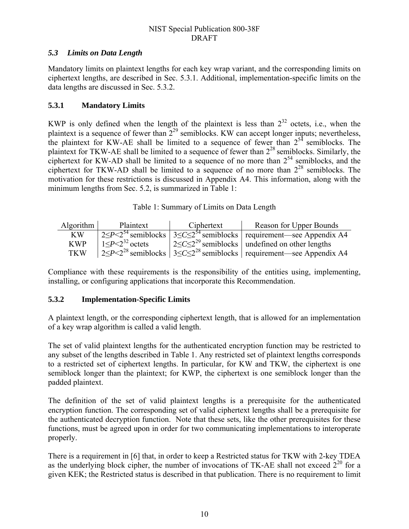### <span id="page-19-0"></span>*5.3 Limits on Data Length*

Mandatory limits on plaintext lengths for each key wrap variant, and the corresponding limits on ciphertext lengths, are described in Sec. [5.3.1.](#page-19-1) Additional, implementation-specific limits on the data lengths are discussed in Sec. [5.3.2.](#page-19-2)

### <span id="page-19-1"></span>**5.3.1 Mandatory Limits**

KWP is only defined when the length of the plaintext is less than  $2^{32}$  octets, i.e., when the plaintext is a sequence of fewer than  $2^{29}$  semiblocks. KW can accept longer inputs; nevertheless, the plaintext for KW-AE shall be limited to a sequence of fewer than  $2^{54}$  semiblocks. The plaintext for TKW-AE shall be limited to a sequence of fewer than  $2^{28}$  semiblocks. Similarly, the ciphertext for KW-AD shall be limited to a sequence of no more than  $2^{54}$  semiblocks, and the ciphertext for TKW-AD shall be limited to a sequence of no more than  $2^{28}$  semiblocks. The motivation for these restrictions is discussed in Appendix A4. This information, along with the minimum lengths from Sec. [5.2,](#page-17-2) is summarized in Table 1:

Table 1: Summary of Limits on Data Length

<span id="page-19-3"></span>

| Algorithm $\vert$ | Plaintext                     | Ciphertext | Reason for Upper Bounds                                                                                                                |
|-------------------|-------------------------------|------------|----------------------------------------------------------------------------------------------------------------------------------------|
| KW                |                               |            | $\sqrt{2}$ $\leq P \leq 2^{54}$ semiblocks $\sqrt{3} \leq C \leq 2^{54}$ semiblocks $\sqrt{2}$ requirement—see Appendix A4             |
| <b>KWP</b>        | $1 \leq P \leq 2^{32}$ octets |            | $ 2 < C \leq 2^{29}$ semiblocks   undefined on other lengths                                                                           |
| <b>TKW</b>        |                               |            | $\left  \frac{2}{5}P \leq 2^{28}$ semiblocks $\left  \frac{3}{5}C \leq 2^{28}$ semiblocks $\left  \right $ requirement—see Appendix A4 |

Compliance with these requirements is the responsibility of the entities using, implementing, installing, or configuring applications that incorporate this Recommendation.

### <span id="page-19-2"></span>**5.3.2 Implementation-Specific Limits**

A plaintext length, or the corresponding ciphertext length, that is allowed for an implementation of a key wrap algorithm is called a valid length.

The set of valid plaintext lengths for the authenticated encryption function may be restricted to any subset of the lengths described in Table 1. Any restricted set of plaintext lengths corresponds to a restricted set of ciphertext lengths. In particular, for KW and TKW, the ciphertext is one semiblock longer than the plaintext; for KWP, the ciphertext is one semiblock longer than the padded plaintext.

The definition of the set of valid plaintext lengths is a prerequisite for the authenticated encryption function. The corresponding set of valid ciphertext lengths shall be a prerequisite for the authenticated decryption function. Note that these sets, like the other prerequisites for these functions, must be agreed upon in order for two communicating implementations to interoperate properly.

There is a requirement in [\[6\]](#page-32-6) that, in order to keep a Restricted status for TKW with 2-key TDEA as the underlying block cipher, the number of invocations of TK-AE shall not exceed  $2^{20}$  for a given KEK; the Restricted status is described in that publication. There is no requirement to limit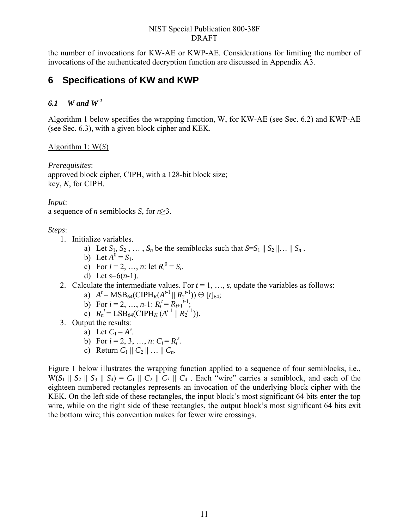the number of invocations for KW-AE or KWP-AE. Considerations for limiting the number of invocations of the authenticated decryption function are discussed in Appendix A3.

### <span id="page-20-0"></span>**6 Specifications of KW and KWP**

### <span id="page-20-1"></span>*6.1 W and W-1*

Algorithm 1 below specifies the wrapping function, W, for KW-AE (see Sec. [6.2](#page-22-0)) and KWP-AE (see Sec. [6.3\)](#page-23-0), with a given block cipher and KEK.

### Algorithm 1: W(*S*)

*Prerequisites*: approved block cipher, CIPH, with a 128-bit block size; key, *K*, for CIPH.

*Input*:

a sequence of *n* semiblocks *S*, for *n*≥3.

*Steps*:

- 1. Initialize variables.
	- a) Let  $S_1, S_2, \ldots, S_n$  be the semiblocks such that  $S = S_1 \parallel S_2 \parallel \ldots \parallel S_n$ .
	- b) Let  $A^0 = S_1$ .
	- c) For  $i = 2, ..., n$ : let  $R_i^0 = S_i$ .
	- d) Let *s*=6(*n*-1).
- 2. Calculate the intermediate values. For  $t = 1, ..., s$ , update the variables as follows:
	- a)  $A^t = \text{MSB}_{64}(\text{CIPH}_K(A^{t-1} || R_2^{t-1})) \oplus [t]_{64};$
	- b) For  $i = 2, ..., n-1$ :  $R_i^t = R_{i+1}^{t-1}$ ;
	- c)  $R_n^t = \text{LSB}_{64}(\text{CIPH}_K(A^{t-1} || R_2^{t-1})).$
- 3. Output the results:
	- a) Let  $C_1 = A^s$ .
	- b) For  $i = 2, 3, ..., n$ :  $C_i = R_i^s$ .
	- c) Return  $C_1 || C_2 || ... || C_n$ .

[Figure 1](#page-21-0) below illustrates the wrapping function applied to a sequence of four semiblocks, i.e.,  $W(S_1 \parallel S_2 \parallel S_3 \parallel S_4) = C_1 \parallel C_2 \parallel C_3 \parallel C_4$ . Each "wire" carries a semiblock, and each of the eighteen numbered rectangles represents an invocation of the underlying block cipher with the KEK. On the left side of these rectangles, the input block's most significant 64 bits enter the top wire, while on the right side of these rectangles, the output block's most significant 64 bits exit the bottom wire; this convention makes for fewer wire crossings.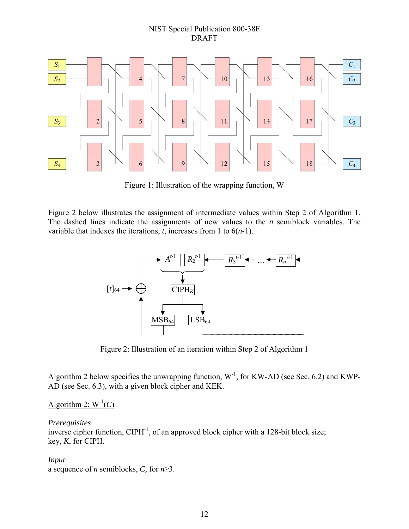

Figure 1: Illustration of the wrapping function, W

<span id="page-21-0"></span>Figure 2 below illustrates the assignment of intermediate values within Step 2 of Algorithm 1. The dashed lines indicate the assignments of new values to the *n* semiblock variables. The variable that indexes the iterations, *t*, increases from 1 to 6(*n*-1).



Figure 2: Illustration of an iteration within Step 2 of Algorithm 1

<span id="page-21-1"></span>Algorithm 2 below specifies the unwrapping function,  $W<sup>-1</sup>$ , for KW-AD (see Sec. 6.2) and KWP-AD (see Sec. 6.3), with a given block cipher and KEK.

### Algorithm 2:  $W^{-1}(C)$

#### *Prerequisites*:

inverse cipher function,  $CIPH^{-1}$ , of an approved block cipher with a 128-bit block size; key, *K*, for CIPH.

*Input*:

a sequence of *n* semiblocks, *C,* for *n*≥3.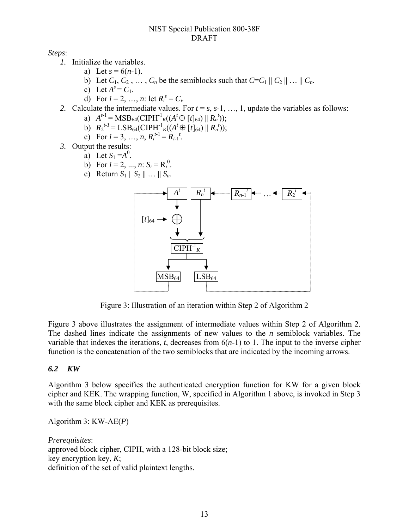*Steps*:

- *1.* Initialize the variables.
	- a) Let  $s = 6(n-1)$ .
	- b) Let  $C_1, C_2, \ldots, C_n$  be the semiblocks such that  $C = C_1 || C_2 || \ldots || C_n$ .
	- c) Let  $A^s = C_1$ .
	- d) For  $i = 2, ..., n$ : let  $R_i^s = C_i$ .
- 2. Calculate the intermediate values. For  $t = s$ ,  $s-1$ , ..., 1, update the variables as follows:
	- a)  $A^{t-1} = \text{MSB}_{64}(\text{CIPH}^{-1}{}_{K}((A^{t} \oplus [t]_{64}) \parallel R_{n}^{t}))$ ;
	- b)  $R_2^{t-1} = \text{LSB}_{64}(\text{CIPH}^{-1} \cdot \mathcal{K})(A^t \oplus [t]_{64}) || R_n^{t}),$
	- c) For  $i = 3, ..., n, R_i^{t-1} = R_{i-1}^{t}$ .
- *3.* Output the results:
	- a) Let  $S_1 = A^0$ .
	- b) For  $i = 2, ..., n$ :  $S_i = R_i^0$ .
	- c) Return  $S_1 || S_2 || ... || S_n$ .



Figure 3: Illustration of an iteration within Step 2 of Algorithm 2

<span id="page-22-1"></span>Figure 3 above illustrates the assignment of intermediate values within Step 2 of Algorithm 2. The dashed lines indicate the assignments of new values to the *n* semiblock variables. The variable that indexes the iterations, *t*, decreases from 6(*n*-1) to 1. The input to the inverse cipher function is the concatenation of the two semiblocks that are indicated by the incoming arrows.

#### <span id="page-22-0"></span>*6.2 KW*

Algorithm 3 below specifies the authenticated encryption function for KW for a given block cipher and KEK. The wrapping function, W, specified in Algorithm 1 above, is invoked in Step 3 with the same block cipher and KEK as prerequisites.

#### Algorithm 3: KW-AE(*P*)

*Prerequisites*: approved block cipher, CIPH, with a 128-bit block size; key encryption key, *K*; definition of the set of valid plaintext lengths.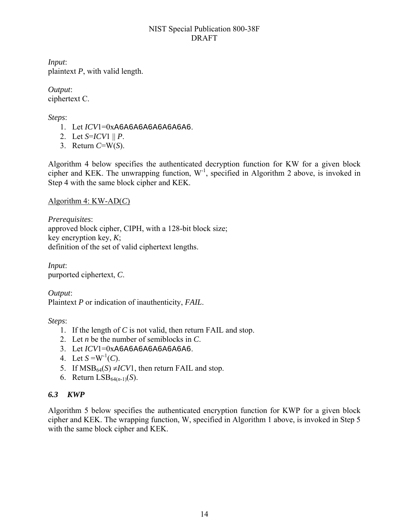*Input*: plaintext *P*, with valid length.

*Output*: ciphertext C.

*Steps*:

- 1. Let *ICV*1=0xA6A6A6A6A6A6A6A6.
- 2. Let *S*=*ICV*1 || *P*.
- 3. Return *C*=W(*S*).

Algorithm 4 below specifies the authenticated decryption function for KW for a given block cipher and KEK. The unwrapping function,  $W<sup>-1</sup>$ , specified in Algorithm 2 above, is invoked in Step 4 with the same block cipher and KEK.

Algorithm 4: KW-AD(*C*)

*Prerequisites*: approved block cipher, CIPH, with a 128-bit block size; key encryption key, *K*; definition of the set of valid ciphertext lengths.

*Input*: purported ciphertext, *C*.

*Output*: Plaintext *P* or indication of inauthenticity, *FAIL*.

*Steps*:

- 1. If the length of *C* is not valid, then return FAIL and stop.
- 2. Let *n* be the number of semiblocks in *C*.
- 3. Let *ICV*1=0xA6A6A6A6A6A6A6A6.
- 4. Let  $S = W^{-1}(C)$ .
- 5. If  $MSB_{64}(S) \neq ICVI$ , then return FAIL and stop.
- 6. Return LSB64(*n*-1)(*S*).

### <span id="page-23-0"></span>*6.3 KWP*

Algorithm 5 below specifies the authenticated encryption function for KWP for a given block cipher and KEK. The wrapping function, W, specified in Algorithm 1 above, is invoked in Step 5 with the same block cipher and KEK.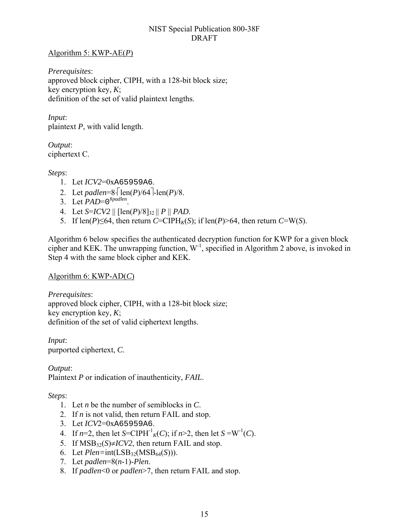### Algorithm 5: KWP-AE(*P*)

*Prerequisites*: approved block cipher, CIPH, with a 128-bit block size; key encryption key, *K*; definition of the set of valid plaintext lengths.

*Input*: plaintext *P*, with valid length.

*Output*: ciphertext C.

*Steps*:

- 1. Let *ICV2*=0xA65959A6.
- 2. Let *padlen*= $8\cdot$ [len(*P*)/64<sup>-</sup>len(*P*)/8.
- 3. Let *PAD*=0<sup>8*padlen*.</sup>
- 4. Let *S*=*ICV2* || [len(*P*)/8]32 || *P* || *PAD*.
- 5. If  $len(P) \le 64$ , then return *C*=CIPH<sub>K</sub>(*S*); if  $len(P) > 64$ , then return *C*=W(*S*).

Algorithm 6 below specifies the authenticated decryption function for KWP for a given block cipher and KEK. The unwrapping function,  $W<sup>-1</sup>$ , specified in Algorithm 2 above, is invoked in Step 4 with the same block cipher and KEK.

Algorithm 6: KWP-AD(*C*)

*Prerequisites*: approved block cipher, CIPH, with a 128-bit block size; key encryption key, *K*; definition of the set of valid ciphertext lengths.

*Input*: purported ciphertext, *C*.

*Output*: Plaintext *P* or indication of inauthenticity, *FAIL*.

### *Steps*:

- 1. Let *n* be the number of semiblocks in *C*.
- 2. If *n* is not valid, then return FAIL and stop.
- 3. Let *ICV*2=0xA65959A6.
- 4. If  $n=2$ , then let *S*=CIPH<sup>-1</sup><sub>*K*</sub>(*C*); if  $n>2$ , then let *S* =W<sup>-1</sup>(*C*).
- 5. If  $MSB_{32}(S) \neq ICV2$ , then return FAIL and stop.
- 6. Let  $Plen=int(LSB_{32}(MSB_{64}(S)))$ .
- 7. Let *padlen*=8(*n*-1)-*Plen*.
- 8. If *padlen*<0 or *padlen*>7, then return FAIL and stop.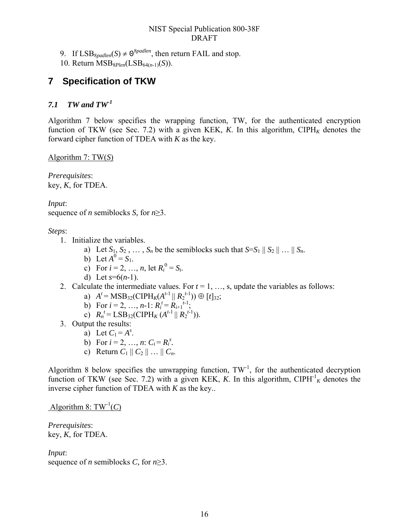9. If  $LSB_{8padden}(S) \neq 0^{8paddlen}$ , then return FAIL and stop.

10. Return MSB8*Plen*(LSB64(*n*-1)(*S*)).

### <span id="page-25-0"></span>**7 Specification of TKW**

### <span id="page-25-1"></span>*7.1 TW and TW-1*

Algorithm 7 below specifies the wrapping function, TW, for the authenticated encryption function of TKW (see Sec. 7.2) with a given KEK, *K*. In this algorithm, CIPH<sub>K</sub> denotes the forward cipher function of TDEA with *K* as the key.

Algorithm 7: TW(*S*)

*Prerequisites*: key, *K*, for TDEA.

*Input*: sequence of *n* semiblocks *S,* for *n*≥3.

*Steps*:

- 1. Initialize the variables.
	- a) Let  $S_1, S_2, \ldots, S_n$  be the semiblocks such that  $S=S_1 \parallel S_2 \parallel \ldots \parallel S_n$ .
	- b) Let  $A^0 = S_1$ .
	- c) For  $i = 2, ..., n$ , let  $R_i^0 = S_i$ .
	- d) Let *s*=6(*n*-1).
- 2. Calculate the intermediate values. For  $t = 1, \ldots, s$ , update the variables as follows:
	- a)  $A^t = \text{MSB}_{32}(\text{CIPH}_K(A^{t-1} || R_2^{t-1})) \oplus [t]_{32};$
	- b) For  $i = 2, ..., n-1$ :  $R_i^t = R_{i+1}^{t-1}$ ;
	- c)  $R_n^t = \text{LSB}_{32}(\text{CIPH}_K(A^{t-1} || R_2^{t-1})).$
- 3. Output the results:
	- a) Let  $C_1 = A^s$ .
	- b) For  $i = 2, ..., n$ :  $C_i = R_i^s$ .
	- c) Return  $C_1 || C_2 || ... || C_n$ .

Algorithm 8 below specifies the unwrapping function,  $TW^{-1}$ , for the authenticated decryption function of TKW (see Sec. 7.2) with a given KEK, *K*. In this algorithm, CIPH<sup>-1</sup><sub>K</sub> denotes the inverse cipher function of TDEA with *K* as the key..

Algorithm 8:  $TW^{-1}(C)$ 

*Prerequisites*: key, *K*, for TDEA.

*Input*:

sequence of *n* semiblocks *C,* for *n*≥3.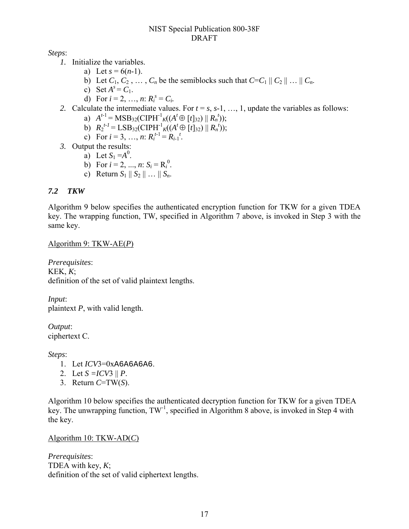*Steps*:

- *1.* Initialize the variables.
	- a) Let  $s = 6(n-1)$ .
	- b) Let  $C_1, C_2, \ldots, C_n$  be the semiblocks such that  $C = C_1 || C_2 || \ldots || C_n$ .
	- c) Set  $A^s = C_1$ .
	- d) For  $i = 2, ..., n$ :  $R_i^s = C_i$ .
- 2. Calculate the intermediate values. For  $t = s$ ,  $s-1$ , ..., 1, update the variables as follows:
	- a)  $A^{t-1} = \text{MSB}_{32}(\text{CIPH}^{-1}{}_{K}((A^{t} \oplus [t]_{32}) \parallel R_{n}^{t}))$ ;
	- b)  $R_2^{t-1} = \text{LSB}_{32}(\text{CIPH}^{-1} \cdot \mathcal{K})(A^t \oplus [t]_{32}) || R_n^{t}),$
	- c) For  $i = 3, ..., n$ :  $R_i^{t-1} = R_{i-1}^{t}$ .
- *3.* Output the results:
	- a) Let  $S_1 = A^0$ .
	- b) For  $i = 2, ..., n$ :  $S_i = R_i^0$ .
	- c) Return  $S_1 || S_2 || ... || S_n$ .

### <span id="page-26-0"></span>*7.2 TKW*

Algorithm 9 below specifies the authenticated encryption function for TKW for a given TDEA key. The wrapping function, TW, specified in Algorithm 7 above, is invoked in Step 3 with the same key.

#### Algorithm 9: TKW-AE(*P*)

*Prerequisites*: KEK, *K*; definition of the set of valid plaintext lengths.

*Input*: plaintext *P*, with valid length.

*Output*: ciphertext C.

*Steps*:

- 1. Let *ICV*3=0xA6A6A6A6.
- 2. Let  $S = ICV3 \, || P$ .
- 3. Return *C*=TW(*S*).

Algorithm 10 below specifies the authenticated decryption function for TKW for a given TDEA key. The unwrapping function,  $TW^{-1}$ , specified in Algorithm 8 above, is invoked in Step 4 with the key.

#### Algorithm 10: TKW-AD(*C*)

*Prerequisites*: TDEA with key, *K*; definition of the set of valid ciphertext lengths.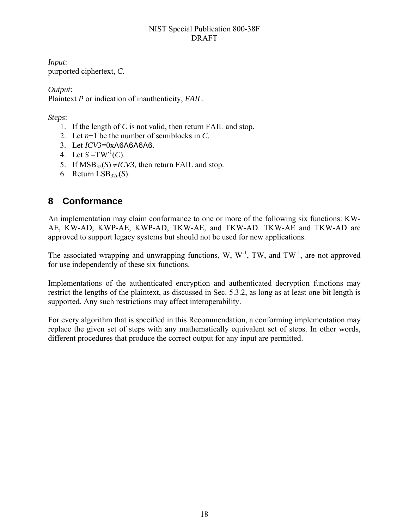*Input*: purported ciphertext, *C*.

*Output*: Plaintext *P* or indication of inauthenticity, *FAIL*.

*Steps*:

- 1. If the length of *C* is not valid, then return FAIL and stop.
- 2. Let  $n+1$  be the number of semiblocks in  $C$ .
- 3. Let *ICV*3=0xA6A6A6A6.
- 4. Let  $S = TW^{-1}(C)$ .
- 5. If  $MSB_{32}(S) \neq ICV3$ , then return FAIL and stop.
- 6. Return LSB32*n*(*S*).

### <span id="page-27-0"></span>**8 Conformance**

An implementation may claim conformance to one or more of the following six functions: KW-AE, KW-AD, KWP-AE, KWP-AD, TKW-AE, and TKW-AD. TKW-AE and TKW-AD are approved to support legacy systems but should not be used for new applications.

The associated wrapping and unwrapping functions, W,  $W<sup>-1</sup>$ , TW, and TW<sup>-1</sup>, are not approved for use independently of these six functions.

Implementations of the authenticated encryption and authenticated decryption functions may restrict the lengths of the plaintext, as discussed in Sec. 5.3.2, as long as at least one bit length is supported. Any such restrictions may affect interoperability.

For every algorithm that is specified in this Recommendation, a conforming implementation may replace the given set of steps with any mathematically equivalent set of steps. In other words, different procedures that produce the correct output for any input are permitted.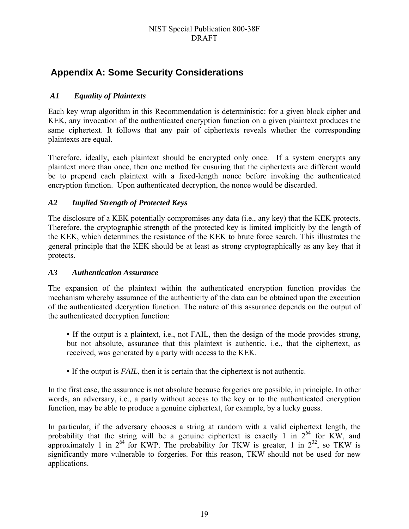### <span id="page-28-0"></span>**Appendix A: Some Security Considerations**

### <span id="page-28-1"></span> *A1 Equality of Plaintexts*

Each key wrap algorithm in this Recommendation is deterministic: for a given block cipher and KEK, any invocation of the authenticated encryption function on a given plaintext produces the same ciphertext. It follows that any pair of ciphertexts reveals whether the corresponding plaintexts are equal.

Therefore, ideally, each plaintext should be encrypted only once. If a system encrypts any plaintext more than once, then one method for ensuring that the ciphertexts are different would be to prepend each plaintext with a fixed-length nonce before invoking the authenticated encryption function. Upon authenticated decryption, the nonce would be discarded.

### <span id="page-28-2"></span>*A2 Implied Strength of Protected Keys*

The disclosure of a KEK potentially compromises any data (i.e., any key) that the KEK protects. Therefore, the cryptographic strength of the protected key is limited implicitly by the length of the KEK, which determines the resistance of the KEK to brute force search. This illustrates the general principle that the KEK should be at least as strong cryptographically as any key that it protects.

### <span id="page-28-3"></span>*A3 Authentication Assurance*

The expansion of the plaintext within the authenticated encryption function provides the mechanism whereby assurance of the authenticity of the data can be obtained upon the execution of the authenticated decryption function. The nature of this assurance depends on the output of the authenticated decryption function:

• If the output is a plaintext, i.e., not FAIL, then the design of the mode provides strong, but not absolute, assurance that this plaintext is authentic, i.e., that the ciphertext, as received, was generated by a party with access to the KEK.

• If the output is *FAIL*, then it is certain that the ciphertext is not authentic.

In the first case, the assurance is not absolute because forgeries are possible, in principle. In other words, an adversary, i.e., a party without access to the key or to the authenticated encryption function, may be able to produce a genuine ciphertext, for example, by a lucky guess.

In particular, if the adversary chooses a string at random with a valid ciphertext length, the probability that the string will be a genuine ciphertext is exactly 1 in  $2^{64}$  for KW, and approximately 1 in  $2^{64}$  for KWP. The probability for TKW is greater, 1 in  $2^{32}$ , so TKW is significantly more vulnerable to forgeries. For this reason, TKW should not be used for new applications.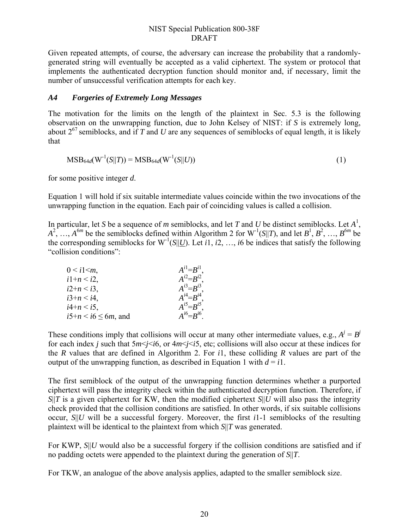Given repeated attempts, of course, the adversary can increase the probability that a randomlygenerated string will eventually be accepted as a valid ciphertext. The system or protocol that implements the authenticated decryption function should monitor and, if necessary, limit the number of unsuccessful verification attempts for each key.

### <span id="page-29-0"></span>*A4 Forgeries of Extremely Long Messages*

The motivation for the limits on the length of the plaintext in Sec. 5.3 is the following observation on the unwrapping function, due to John Kelsey of NIST: if *S* is extremely long, about  $2^{67}$  semiblocks, and if *T* and *U* are any sequences of semiblocks of equal length, it is likely that

$$
MSB_{64d}(W^{-1}(S||T)) = MSB_{64d}(W^{-1}(S||U))
$$
\n(1)

for some positive integer *d*.

Equation 1 will hold if six suitable intermediate values coincide within the two invocations of the unwrapping function in the equation. Each pair of coinciding values is called a collision.

In particular, let *S* be a sequence of *m* semiblocks, and let *T* and *U* be distinct semiblocks. Let  $A^1$ ,  $A^2$ , …,  $A^{6m}$  be the semiblocks defined within Algorithm 2 for W<sup>-1</sup>(*S*||*T*), and let  $B^1, B^2, ..., B^{6m}$  be the corresponding semiblocks for  $W^{-1}(S||U)$ . Let *i*1, *i*2, …, *i*6 be indices that satisfy the following "collision conditions":

| $0 < i1 \leq m$           | $A^{i} = B^{i}$   |
|---------------------------|-------------------|
| $i1+n < i2$ ,             | $A^{i2}=B^{i2}$   |
| $i2+n < i3$ ,             | $A^{i3}=B^{i3}$ . |
| $i3+n < i4$ ,             | $A^{i4}=B^{i4}$ . |
| $i4+n < i5$ ,             | $A^{i5}=B^{i5}$ . |
| $i5+n < i6 \leq 6m$ , and | $A^{i6}=B^{i6}$   |

These conditions imply that collisions will occur at many other intermediate values, e.g.,  $A^j = B^j$ for each index *j* such that 5*m*<*j*<*i*6, or 4*m*<*j*<*i*5, etc; collisions will also occur at these indices for the *R* values that are defined in Algorithm 2. For *i*1, these colliding *R* values are part of the output of the unwrapping function, as described in Equation 1 with  $d = i$ 1.

The first semiblock of the output of the unwrapping function determines whether a purported ciphertext will pass the integrity check within the authenticated decryption function. Therefore, if *S*||*T* is a given ciphertext for KW, then the modified ciphertext *S*||*U* will also pass the integrity check provided that the collision conditions are satisfied. In other words, if six suitable collisions occur, *S*||*U* will be a successful forgery. Moreover, the first *i*1-1 semiblocks of the resulting plaintext will be identical to the plaintext from which *S*||*T* was generated.

For KWP, *S*||*U* would also be a successful forgery if the collision conditions are satisfied and if no padding octets were appended to the plaintext during the generation of *S*||*T*.

For TKW, an analogue of the above analysis applies, adapted to the smaller semiblock size.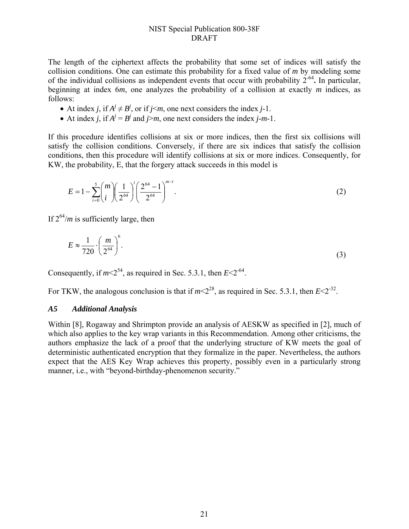The length of the ciphertext affects the probability that some set of indices will satisfy the collision conditions. One can estimate this probability for a fixed value of *m* by modeling some of the individual collisions as independent events that occur with probability 2-64**.** In particular, beginning at index 6*m*, one analyzes the probability of a collision at exactly *m* indices, as follows:

- At index *j*, if  $A^j \neq B^j$ , or if *j* <*m*, one next considers the index *j*-1.
- At index *j*, if  $A^j = B^j$  and *j>m*, one next considers the index *j*-*m*-1.

If this procedure identifies collisions at six or more indices, then the first six collisions will satisfy the collision conditions. Conversely, if there are six indices that satisfy the collision conditions, then this procedure will identify collisions at six or more indices. Consequently, for KW, the probability, E, that the forgery attack succeeds in this model is

$$
E = 1 - \sum_{i=0}^{5} {m \choose i} \left(\frac{1}{2^{64}}\right)^i \left(\frac{2^{64} - 1}{2^{64}}\right)^{m-i}.
$$
 (2)

If  $2^{64}/m$  is sufficiently large, then

$$
E \approx \frac{1}{720} \cdot \left(\frac{m}{2^{64}}\right)^6.
$$

Consequently, if  $m \leq 2^{54}$  as required in Sec. [5.3.1](#page-19-1), then  $E \leq 2^{64}$ .

For TKW, the analogous conclusion is that if  $m < 2^{28}$ , as required in Sec. [5.3.1,](#page-32-8) then  $E < 2^{32}$ .

#### <span id="page-30-0"></span>*A5 Additional Analysis*

Within [8], Rogaway and Shrimpton provide an analysis of AESKW as specified in [2], much of which also applies to the key wrap variants in this Recommendation. Among other criticisms, the authors emphasize the lack of a proof that the underlying structure of KW meets the goal of deterministic authenticated encryption that they formalize in the paper. Nevertheless, the authors expect that the AES Key Wrap achieves this property, possibly even in a particularly strong manner, i.e., with "beyond-birthday-phenomenon security."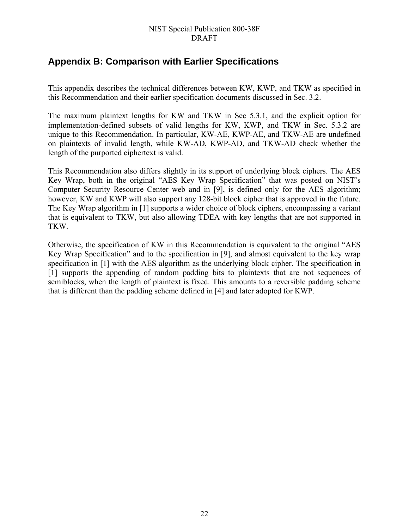### <span id="page-31-0"></span>**Appendix B: Comparison with Earlier Specifications**

This appendix describes the technical differences between KW, KWP, and TKW as specified in this Recommendation and their earlier specification documents discussed in Sec. [3.2.](#page-19-1)

The maximum plaintext lengths for KW and TKW in Sec [5.3.1](#page-32-2), and the explicit option for implementation-defined subsets of valid lengths for KW, KWP, and TKW in Sec. [5.3.2](#page-32-3) are unique to this Recommendation. In particular, KW-AE, KWP-AE, and TKW-AE are undefined on plaintexts of invalid length, while KW-AD, KWP-AD, and TKW-AD check whether the length of the purported ciphertext is valid.

This Recommendation also differs slightly in its support of underlying block ciphers. The AES Key Wrap, both in the original "AES Key Wrap Specification" that was posted on NIST's Computer Security Resource Center web and in [\[9\],](#page-32-2) is defined only for the AES algorithm; however, KW and KWP will also support any 128-bit block cipher that is approved in the future. The Key Wrap algorithm in [\[1\]](#page-32-3) supports a wider choice of block ciphers, encompassing a variant that is equivalent to TKW, but also allowing TDEA with key lengths that are not supported in TKW.

Otherwise, the specification of KW in this Recommendation is equivalent to the original "AES Key Wrap Specification" and to the specification in [9], and almost equivalent to the key wrap specification in [1] with the AES algorithm as the underlying block cipher. The specification in [1] supports the appending of random padding bits to plaintexts that are not sequences of semiblocks, when the length of plaintext is fixed. This amounts to a reversible padding scheme that is different than the padding scheme defined in [4] and later adopted for KWP.